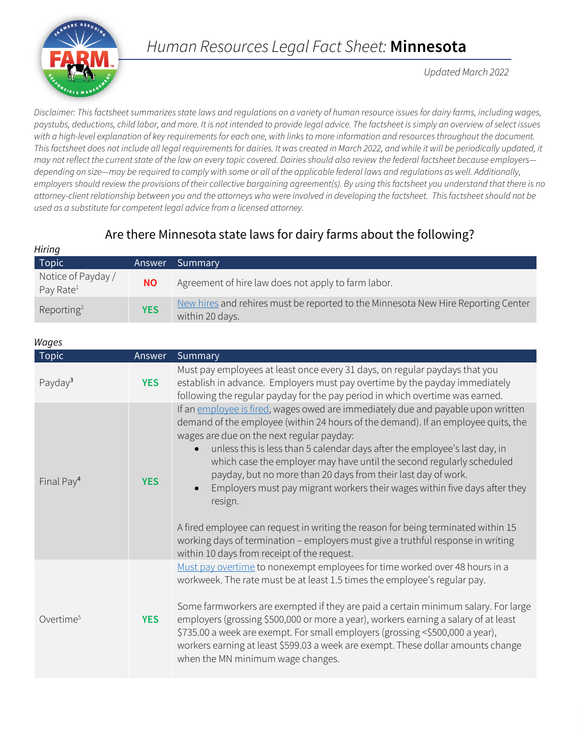

## *Human Resources Legal Fact Sheet:* **Minnesota**

*Updated March 2022*

*Disclaimer: This factsheet summarizes state laws and regulations on a variety of human resource issues for dairy farms, including wages, paystubs, deductions, child labor, and more. It is not intended to provide legal advice. The factsheet is simply an overview of select issues with a high-level explanation of key requirements for each one, with links to more information and resources throughout the document.*  This factsheet does not include all legal requirements for dairies. It was created in March 2022, and while it will be periodically updated, it *may not reflect the current state of the law on every topic covered. Dairies should also review the federal factsheet because employers depending on size—may be required to comply with some or all of the applicable federal laws and regulations as well. Additionally, employers should review the provisions of their collective bargaining agreement(s). By using this factsheet you understand that there is no attorney-client relationship between you and the attorneys who were involved in developing the factsheet. This factsheet should not be used as a substitute for competent legal advice from a licensed attorney.*

### Are there Minnesota state laws for dairy farms about the following?

| Hiring                                      |            |                                                                                                      |
|---------------------------------------------|------------|------------------------------------------------------------------------------------------------------|
| Topic                                       | Answer     | Summary                                                                                              |
| Notice of Payday /<br>Pay Rate <sup>1</sup> | <b>NO</b>  | Agreement of hire law does not apply to farm labor.                                                  |
| Reporting <sup>2</sup>                      | <b>YES</b> | New hires and rehires must be reported to the Minnesota New Hire Reporting Center<br>within 20 days. |

#### *Wages*

| <b>Topic</b>           | Answer     | Summary                                                                                                                                                                                                                                                                                                                                                                                                                                                                                                                                                                                                                                                                                                                                                                               |
|------------------------|------------|---------------------------------------------------------------------------------------------------------------------------------------------------------------------------------------------------------------------------------------------------------------------------------------------------------------------------------------------------------------------------------------------------------------------------------------------------------------------------------------------------------------------------------------------------------------------------------------------------------------------------------------------------------------------------------------------------------------------------------------------------------------------------------------|
| Payday <sup>3</sup>    | <b>YES</b> | Must pay employees at least once every 31 days, on regular paydays that you<br>establish in advance. Employers must pay overtime by the payday immediately<br>following the regular payday for the pay period in which overtime was earned.                                                                                                                                                                                                                                                                                                                                                                                                                                                                                                                                           |
| Final Pay <sup>4</sup> | <b>YES</b> | If an employee is fired, wages owed are immediately due and payable upon written<br>demand of the employee (within 24 hours of the demand). If an employee quits, the<br>wages are due on the next regular payday:<br>unless this is less than 5 calendar days after the employee's last day, in<br>$\bullet$<br>which case the employer may have until the second regularly scheduled<br>payday, but no more than 20 days from their last day of work.<br>Employers must pay migrant workers their wages within five days after they<br>$\bullet$<br>resign.<br>A fired employee can request in writing the reason for being terminated within 15<br>working days of termination - employers must give a truthful response in writing<br>within 10 days from receipt of the request. |
| Overtime <sup>5</sup>  | <b>YES</b> | Must pay overtime to nonexempt employees for time worked over 48 hours in a<br>workweek. The rate must be at least 1.5 times the employee's regular pay.<br>Some farmworkers are exempted if they are paid a certain minimum salary. For large<br>employers (grossing \$500,000 or more a year), workers earning a salary of at least<br>\$735.00 a week are exempt. For small employers (grossing <\$500,000 a year),<br>workers earning at least \$599.03 a week are exempt. These dollar amounts change<br>when the MN minimum wage changes.                                                                                                                                                                                                                                       |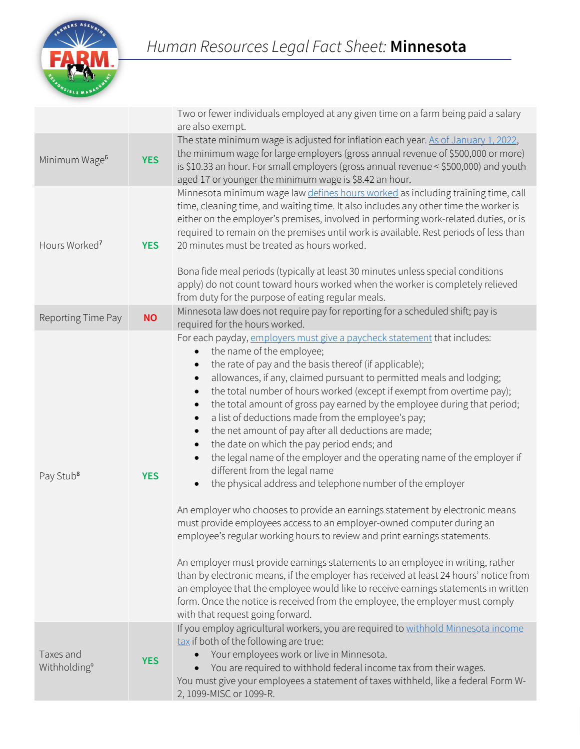

|                                       |            | Two or fewer individuals employed at any given time on a farm being paid a salary<br>are also exempt.                                                                                                                                                                                                                                                                                                                                                                                                                                                                                                                                                                                                                                                                                                                                                                                                                                                                                                                                                                                                                                                                                                                                                                                                                                                                                                                                                                                             |
|---------------------------------------|------------|---------------------------------------------------------------------------------------------------------------------------------------------------------------------------------------------------------------------------------------------------------------------------------------------------------------------------------------------------------------------------------------------------------------------------------------------------------------------------------------------------------------------------------------------------------------------------------------------------------------------------------------------------------------------------------------------------------------------------------------------------------------------------------------------------------------------------------------------------------------------------------------------------------------------------------------------------------------------------------------------------------------------------------------------------------------------------------------------------------------------------------------------------------------------------------------------------------------------------------------------------------------------------------------------------------------------------------------------------------------------------------------------------------------------------------------------------------------------------------------------------|
| Minimum Wage <sup>6</sup>             | <b>YES</b> | The state minimum wage is adjusted for inflation each year. As of January 1, 2022,<br>the minimum wage for large employers (gross annual revenue of \$500,000 or more)<br>is \$10.33 an hour. For small employers (gross annual revenue < \$500,000) and youth<br>aged 17 or younger the minimum wage is \$8.42 an hour.                                                                                                                                                                                                                                                                                                                                                                                                                                                                                                                                                                                                                                                                                                                                                                                                                                                                                                                                                                                                                                                                                                                                                                          |
| Hours Worked <sup>7</sup>             | <b>YES</b> | Minnesota minimum wage law defines hours worked as including training time, call<br>time, cleaning time, and waiting time. It also includes any other time the worker is<br>either on the employer's premises, involved in performing work-related duties, or is<br>required to remain on the premises until work is available. Rest periods of less than<br>20 minutes must be treated as hours worked.<br>Bona fide meal periods (typically at least 30 minutes unless special conditions<br>apply) do not count toward hours worked when the worker is completely relieved<br>from duty for the purpose of eating regular meals.                                                                                                                                                                                                                                                                                                                                                                                                                                                                                                                                                                                                                                                                                                                                                                                                                                                               |
| Reporting Time Pay                    | <b>NO</b>  | Minnesota law does not require pay for reporting for a scheduled shift; pay is<br>required for the hours worked.                                                                                                                                                                                                                                                                                                                                                                                                                                                                                                                                                                                                                                                                                                                                                                                                                                                                                                                                                                                                                                                                                                                                                                                                                                                                                                                                                                                  |
| Pay Stub <sup>8</sup>                 | <b>YES</b> | For each payday, employers must give a paycheck statement that includes:<br>the name of the employee;<br>$\bullet$<br>the rate of pay and the basis thereof (if applicable);<br>$\bullet$<br>allowances, if any, claimed pursuant to permitted meals and lodging;<br>$\bullet$<br>the total number of hours worked (except if exempt from overtime pay);<br>$\bullet$<br>the total amount of gross pay earned by the employee during that period;<br>$\bullet$<br>a list of deductions made from the employee's pay;<br>$\bullet$<br>the net amount of pay after all deductions are made;<br>$\bullet$<br>the date on which the pay period ends; and<br>$\bullet$<br>the legal name of the employer and the operating name of the employer if<br>$\bullet$<br>different from the legal name<br>the physical address and telephone number of the employer<br>$\bullet$<br>An employer who chooses to provide an earnings statement by electronic means<br>must provide employees access to an employer-owned computer during an<br>employee's regular working hours to review and print earnings statements.<br>An employer must provide earnings statements to an employee in writing, rather<br>than by electronic means, if the employer has received at least 24 hours' notice from<br>an employee that the employee would like to receive earnings statements in written<br>form. Once the notice is received from the employee, the employer must comply<br>with that request going forward. |
| Taxes and<br>Withholding <sup>9</sup> | <b>YES</b> | If you employ agricultural workers, you are required to withhold Minnesota income<br>tax if both of the following are true:<br>Your employees work or live in Minnesota.<br>You are required to withhold federal income tax from their wages.<br>You must give your employees a statement of taxes withheld, like a federal Form W-<br>2, 1099-MISC or 1099-R.                                                                                                                                                                                                                                                                                                                                                                                                                                                                                                                                                                                                                                                                                                                                                                                                                                                                                                                                                                                                                                                                                                                                    |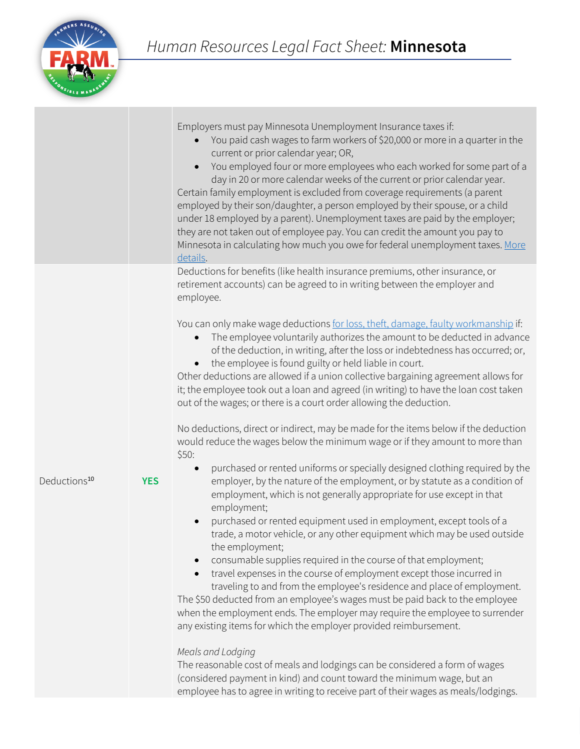

|                                        | Employers must pay Minnesota Unemployment Insurance taxes if:<br>You paid cash wages to farm workers of \$20,000 or more in a quarter in the<br>current or prior calendar year; OR,<br>You employed four or more employees who each worked for some part of a<br>$\bullet$<br>day in 20 or more calendar weeks of the current or prior calendar year.<br>Certain family employment is excluded from coverage requirements (a parent<br>employed by their son/daughter, a person employed by their spouse, or a child<br>under 18 employed by a parent). Unemployment taxes are paid by the employer;<br>they are not taken out of employee pay. You can credit the amount you pay to<br>Minnesota in calculating how much you owe for federal unemployment taxes. More<br>details.                                                                                                                                                                                                                                                                                                                                                                                                                                                                                                                                                                                                                                                                                                                                                                                                                                                                                                                                                                                                                                                                                                                                                                                                                                                                                               |
|----------------------------------------|----------------------------------------------------------------------------------------------------------------------------------------------------------------------------------------------------------------------------------------------------------------------------------------------------------------------------------------------------------------------------------------------------------------------------------------------------------------------------------------------------------------------------------------------------------------------------------------------------------------------------------------------------------------------------------------------------------------------------------------------------------------------------------------------------------------------------------------------------------------------------------------------------------------------------------------------------------------------------------------------------------------------------------------------------------------------------------------------------------------------------------------------------------------------------------------------------------------------------------------------------------------------------------------------------------------------------------------------------------------------------------------------------------------------------------------------------------------------------------------------------------------------------------------------------------------------------------------------------------------------------------------------------------------------------------------------------------------------------------------------------------------------------------------------------------------------------------------------------------------------------------------------------------------------------------------------------------------------------------------------------------------------------------------------------------------------------------|
| Deductions <sup>10</sup><br><b>YES</b> | Deductions for benefits (like health insurance premiums, other insurance, or<br>retirement accounts) can be agreed to in writing between the employer and<br>employee.<br>You can only make wage deductions for loss, theft, damage, faulty workmanship if:<br>The employee voluntarily authorizes the amount to be deducted in advance<br>of the deduction, in writing, after the loss or indebtedness has occurred; or,<br>the employee is found guilty or held liable in court.<br>Other deductions are allowed if a union collective bargaining agreement allows for<br>it; the employee took out a loan and agreed (in writing) to have the loan cost taken<br>out of the wages; or there is a court order allowing the deduction.<br>No deductions, direct or indirect, may be made for the items below if the deduction<br>would reduce the wages below the minimum wage or if they amount to more than<br>\$50:<br>purchased or rented uniforms or specially designed clothing required by the<br>employer, by the nature of the employment, or by statute as a condition of<br>employment, which is not generally appropriate for use except in that<br>employment;<br>purchased or rented equipment used in employment, except tools of a<br>trade, a motor vehicle, or any other equipment which may be used outside<br>the employment;<br>consumable supplies required in the course of that employment;<br>travel expenses in the course of employment except those incurred in<br>traveling to and from the employee's residence and place of employment.<br>The \$50 deducted from an employee's wages must be paid back to the employee<br>when the employment ends. The employer may require the employee to surrender<br>any existing items for which the employer provided reimbursement.<br>Meals and Lodging<br>The reasonable cost of meals and lodgings can be considered a form of wages<br>(considered payment in kind) and count toward the minimum wage, but an<br>employee has to agree in writing to receive part of their wages as meals/lodgings. |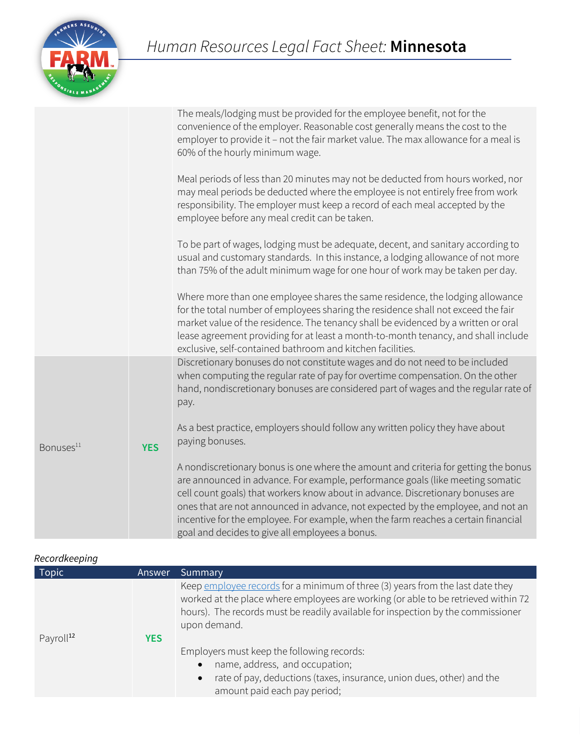## *Human Resources Legal Fact Sheet:* **Minnesota**



|                       |            | The meals/lodging must be provided for the employee benefit, not for the<br>convenience of the employer. Reasonable cost generally means the cost to the<br>employer to provide it - not the fair market value. The max allowance for a meal is<br>60% of the hourly minimum wage.                                                                                                                                                                                                    |
|-----------------------|------------|---------------------------------------------------------------------------------------------------------------------------------------------------------------------------------------------------------------------------------------------------------------------------------------------------------------------------------------------------------------------------------------------------------------------------------------------------------------------------------------|
|                       |            | Meal periods of less than 20 minutes may not be deducted from hours worked, nor<br>may meal periods be deducted where the employee is not entirely free from work<br>responsibility. The employer must keep a record of each meal accepted by the<br>employee before any meal credit can be taken.                                                                                                                                                                                    |
|                       |            | To be part of wages, lodging must be adequate, decent, and sanitary according to<br>usual and customary standards. In this instance, a lodging allowance of not more<br>than 75% of the adult minimum wage for one hour of work may be taken per day.                                                                                                                                                                                                                                 |
|                       |            | Where more than one employee shares the same residence, the lodging allowance<br>for the total number of employees sharing the residence shall not exceed the fair<br>market value of the residence. The tenancy shall be evidenced by a written or oral<br>lease agreement providing for at least a month-to-month tenancy, and shall include<br>exclusive, self-contained bathroom and kitchen facilities.                                                                          |
|                       |            | Discretionary bonuses do not constitute wages and do not need to be included<br>when computing the regular rate of pay for overtime compensation. On the other<br>hand, nondiscretionary bonuses are considered part of wages and the regular rate of<br>pay.                                                                                                                                                                                                                         |
| Bonuses <sup>11</sup> | <b>YES</b> | As a best practice, employers should follow any written policy they have about<br>paying bonuses.                                                                                                                                                                                                                                                                                                                                                                                     |
|                       |            | A nondiscretionary bonus is one where the amount and criteria for getting the bonus<br>are announced in advance. For example, performance goals (like meeting somatic<br>cell count goals) that workers know about in advance. Discretionary bonuses are<br>ones that are not announced in advance, not expected by the employee, and not an<br>incentive for the employee. For example, when the farm reaches a certain financial<br>goal and decides to give all employees a bonus. |

| Topic                 | Answer     | Summary                                                                                                                                                                                                                                                                                                                                                                                                                                        |
|-----------------------|------------|------------------------------------------------------------------------------------------------------------------------------------------------------------------------------------------------------------------------------------------------------------------------------------------------------------------------------------------------------------------------------------------------------------------------------------------------|
| Payroll <sup>12</sup> | <b>YES</b> | Keep employee records for a minimum of three (3) years from the last date they<br>worked at the place where employees are working (or able to be retrieved within 72<br>hours). The records must be readily available for inspection by the commissioner<br>upon demand.<br>Employers must keep the following records:<br>name, address, and occupation;<br>rate of pay, deductions (taxes, insurance, union dues, other) and the<br>$\bullet$ |
|                       |            | amount paid each pay period;                                                                                                                                                                                                                                                                                                                                                                                                                   |

#### *Recordkeeping*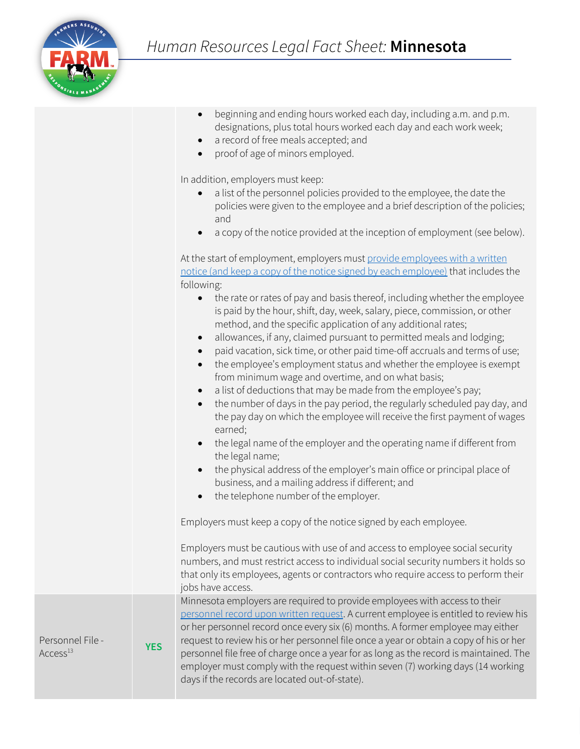

- beginning and ending hours worked each day, including a.m. and p.m. designations, plus total hours worked each day and each work week;
- a record of free meals accepted; and
- proof of age of minors employed.

In addition, employers must keep:

- a list of the personnel policies provided to the employee, the date the policies were given to the employee and a brief description of the policies; and
- a copy of the notice provided at the inception of employment (see below).

At the start of employment, employers must [provide employees with a written](https://www.dli.mn.gov/sites/default/files/pdf/wage_theft_summary_employees.pdf)  [notice \(and keep a copy of the notice signed by each employee\)](https://www.dli.mn.gov/sites/default/files/pdf/wage_theft_summary_employees.pdf) that includes the following:

- the rate or rates of pay and basis thereof, including whether the employee is paid by the hour, shift, day, week, salary, piece, commission, or other method, and the specific application of any additional rates;
- allowances, if any, claimed pursuant to permitted meals and lodging;
- paid vacation, sick time, or other paid time-off accruals and terms of use;
- the employee's employment status and whether the employee is exempt from minimum wage and overtime, and on what basis;
- a list of deductions that may be made from the employee's pay;
- the number of days in the pay period, the regularly scheduled pay day, and the pay day on which the employee will receive the first payment of wages earned;
- the legal name of the employer and the operating name if different from the legal name;
- the physical address of the employer's main office or principal place of business, and a mailing address if different; and
- the telephone number of the employer.

Employers must keep a copy of the notice signed by each employee.

Employers must be cautious with use of and access to employee social security numbers, and must restrict access to individual social security numbers it holds so that only its employees, agents or contractors who require access to perform their jobs have access.

Minnesota employers are required to provide employees with access to their [personnel record upon written request.](https://www.dli.mn.gov/business/employment-practices/personnel-file-faqs) A current employee is entitled to review his or her personnel record once every six (6) months. A former employee may either request to review his or her personnel file once a year or obtain a copy of his or her personnel file free of charge once a year for as long as the record is maintained. The employer must comply with the request within seven (7) working days (14 working days if the records are located out-of-state).

Personnel File - Access<sup>13</sup> **YES**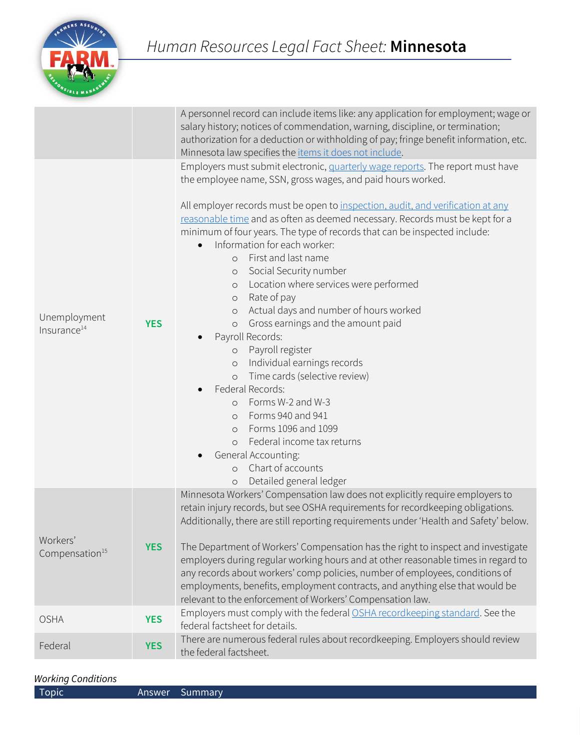

|                                         |            | A personnel record can include items like: any application for employment; wage or<br>salary history; notices of commendation, warning, discipline, or termination;<br>authorization for a deduction or withholding of pay; fringe benefit information, etc.<br>Minnesota law specifies the <i>items it does not include</i> .                                                                                                                                                                                                                                                                                                                                                                                                                                                                                                                                                                                                                                                                                                                                               |
|-----------------------------------------|------------|------------------------------------------------------------------------------------------------------------------------------------------------------------------------------------------------------------------------------------------------------------------------------------------------------------------------------------------------------------------------------------------------------------------------------------------------------------------------------------------------------------------------------------------------------------------------------------------------------------------------------------------------------------------------------------------------------------------------------------------------------------------------------------------------------------------------------------------------------------------------------------------------------------------------------------------------------------------------------------------------------------------------------------------------------------------------------|
| Unemployment<br>Insurance <sup>14</sup> | <b>YES</b> | Employers must submit electronic, quarterly wage reports. The report must have<br>the employee name, SSN, gross wages, and paid hours worked.<br>All employer records must be open to inspection, audit, and verification at any<br>reasonable time and as often as deemed necessary. Records must be kept for a<br>minimum of four years. The type of records that can be inspected include:<br>Information for each worker:<br>First and last name<br>$\circ$<br>Social Security number<br>$\circ$<br>Location where services were performed<br>$\circ$<br>Rate of pay<br>$\circ$<br>Actual days and number of hours worked<br>$\circ$<br>Gross earnings and the amount paid<br>$\circ$<br>Payroll Records:<br>Payroll register<br>$\circ$<br>Individual earnings records<br>$\circ$<br>Time cards (selective review)<br>$\circ$<br>Federal Records:<br>o Forms W-2 and W-3<br>o Forms 940 and 941<br>Forms 1096 and 1099<br>$\circ$<br>Federal income tax returns<br>$\circ$<br>General Accounting:<br>Chart of accounts<br>$\circ$<br>Detailed general ledger<br>$\circ$ |
| Workers'<br>Compensation <sup>15</sup>  | <b>YES</b> | Minnesota Workers' Compensation law does not explicitly require employers to<br>retain injury records, but see OSHA requirements for recordkeeping obligations.<br>Additionally, there are still reporting requirements under 'Health and Safety' below.<br>The Department of Workers' Compensation has the right to inspect and investigate<br>employers during regular working hours and at other reasonable times in regard to<br>any records about workers' comp policies, number of employees, conditions of<br>employments, benefits, employment contracts, and anything else that would be<br>relevant to the enforcement of Workers' Compensation law.                                                                                                                                                                                                                                                                                                                                                                                                               |
| <b>OSHA</b>                             | <b>YES</b> | Employers must comply with the federal OSHA recordkeeping standard. See the<br>federal factsheet for details.                                                                                                                                                                                                                                                                                                                                                                                                                                                                                                                                                                                                                                                                                                                                                                                                                                                                                                                                                                |
| Federal                                 | <b>YES</b> | There are numerous federal rules about recordkeeping. Employers should review<br>the federal factsheet.                                                                                                                                                                                                                                                                                                                                                                                                                                                                                                                                                                                                                                                                                                                                                                                                                                                                                                                                                                      |

# *Working Conditions*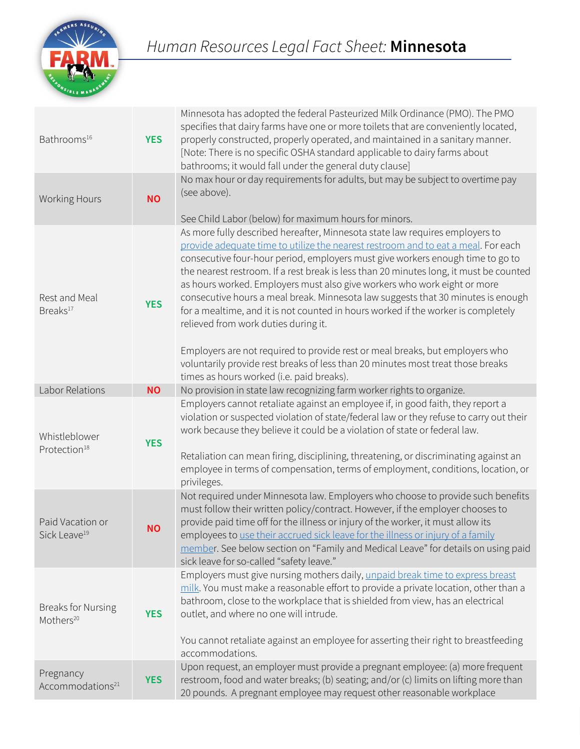

| Bathrooms <sup>16</sup>                            | <b>YES</b> | Minnesota has adopted the federal Pasteurized Milk Ordinance (PMO). The PMO<br>specifies that dairy farms have one or more toilets that are conveniently located,<br>properly constructed, properly operated, and maintained in a sanitary manner.<br>[Note: There is no specific OSHA standard applicable to dairy farms about<br>bathrooms; it would fall under the general duty clause]                                                                                                                                                                                                                                                                                                                                                                                                                                                                 |
|----------------------------------------------------|------------|------------------------------------------------------------------------------------------------------------------------------------------------------------------------------------------------------------------------------------------------------------------------------------------------------------------------------------------------------------------------------------------------------------------------------------------------------------------------------------------------------------------------------------------------------------------------------------------------------------------------------------------------------------------------------------------------------------------------------------------------------------------------------------------------------------------------------------------------------------|
| Working Hours                                      | <b>NO</b>  | No max hour or day requirements for adults, but may be subject to overtime pay<br>(see above).<br>See Child Labor (below) for maximum hours for minors.                                                                                                                                                                                                                                                                                                                                                                                                                                                                                                                                                                                                                                                                                                    |
| Rest and Meal<br>Breaks <sup>17</sup>              | <b>YES</b> | As more fully described hereafter, Minnesota state law requires employers to<br>provide adequate time to utilize the nearest restroom and to eat a meal. For each<br>consecutive four-hour period, employers must give workers enough time to go to<br>the nearest restroom. If a rest break is less than 20 minutes long, it must be counted<br>as hours worked. Employers must also give workers who work eight or more<br>consecutive hours a meal break. Minnesota law suggests that 30 minutes is enough<br>for a mealtime, and it is not counted in hours worked if the worker is completely<br>relieved from work duties during it.<br>Employers are not required to provide rest or meal breaks, but employers who<br>voluntarily provide rest breaks of less than 20 minutes most treat those breaks<br>times as hours worked (i.e. paid breaks). |
| Labor Relations                                    | <b>NO</b>  | No provision in state law recognizing farm worker rights to organize.                                                                                                                                                                                                                                                                                                                                                                                                                                                                                                                                                                                                                                                                                                                                                                                      |
| Whistleblower<br>Protection <sup>18</sup>          | <b>YES</b> | Employers cannot retaliate against an employee if, in good faith, they report a<br>violation or suspected violation of state/federal law or they refuse to carry out their<br>work because they believe it could be a violation of state or federal law.<br>Retaliation can mean firing, disciplining, threatening, or discriminating against an<br>employee in terms of compensation, terms of employment, conditions, location, or<br>privileges.                                                                                                                                                                                                                                                                                                                                                                                                        |
| Paid Vacation or<br>Sick Leave <sup>19</sup>       | <b>NO</b>  | Not required under Minnesota law. Employers who choose to provide such benefits<br>must follow their written policy/contract. However, if the employer chooses to<br>provide paid time off for the illness or injury of the worker, it must allow its<br>employees to use their accrued sick leave for the illness or injury of a family<br>member. See below section on "Family and Medical Leave" for details on using paid<br>sick leave for so-called "safety leave."                                                                                                                                                                                                                                                                                                                                                                                  |
| <b>Breaks for Nursing</b><br>Mothers <sup>20</sup> | <b>YES</b> | Employers must give nursing mothers daily, unpaid break time to express breast<br>milk. You must make a reasonable effort to provide a private location, other than a<br>bathroom, close to the workplace that is shielded from view, has an electrical<br>outlet, and where no one will intrude.<br>You cannot retaliate against an employee for asserting their right to breastfeeding<br>accommodations.                                                                                                                                                                                                                                                                                                                                                                                                                                                |
| Pregnancy<br>Accommodations <sup>21</sup>          | <b>YES</b> | Upon request, an employer must provide a pregnant employee: (a) more frequent<br>restroom, food and water breaks; (b) seating; and/or (c) limits on lifting more than<br>20 pounds. A pregnant employee may request other reasonable workplace                                                                                                                                                                                                                                                                                                                                                                                                                                                                                                                                                                                                             |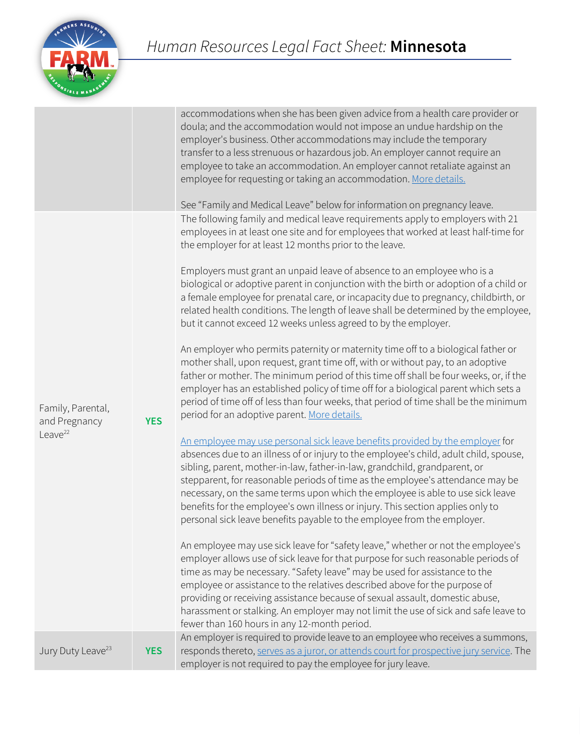

|                                                           |            | accommodations when she has been given advice from a health care provider or<br>doula; and the accommodation would not impose an undue hardship on the<br>employer's business. Other accommodations may include the temporary<br>transfer to a less strenuous or hazardous job. An employer cannot require an<br>employee to take an accommodation. An employer cannot retaliate against an<br>employee for requesting or taking an accommodation. More details.                                                                                                                                                                                                                                                                                                                                                                                                                                                                                                                                                                                                                                                                                                                                                                                                                                                                                                                                                                                                                                                                                                                                                                                                                                                                                                                                                                                                                                                                                                                                                                                                                                                                                                                                                                                                                                                                        |
|-----------------------------------------------------------|------------|-----------------------------------------------------------------------------------------------------------------------------------------------------------------------------------------------------------------------------------------------------------------------------------------------------------------------------------------------------------------------------------------------------------------------------------------------------------------------------------------------------------------------------------------------------------------------------------------------------------------------------------------------------------------------------------------------------------------------------------------------------------------------------------------------------------------------------------------------------------------------------------------------------------------------------------------------------------------------------------------------------------------------------------------------------------------------------------------------------------------------------------------------------------------------------------------------------------------------------------------------------------------------------------------------------------------------------------------------------------------------------------------------------------------------------------------------------------------------------------------------------------------------------------------------------------------------------------------------------------------------------------------------------------------------------------------------------------------------------------------------------------------------------------------------------------------------------------------------------------------------------------------------------------------------------------------------------------------------------------------------------------------------------------------------------------------------------------------------------------------------------------------------------------------------------------------------------------------------------------------------------------------------------------------------------------------------------------------|
| Family, Parental,<br>and Pregnancy<br>Leave <sup>22</sup> | <b>YES</b> | See "Family and Medical Leave" below for information on pregnancy leave.<br>The following family and medical leave requirements apply to employers with 21<br>employees in at least one site and for employees that worked at least half-time for<br>the employer for at least 12 months prior to the leave.<br>Employers must grant an unpaid leave of absence to an employee who is a<br>biological or adoptive parent in conjunction with the birth or adoption of a child or<br>a female employee for prenatal care, or incapacity due to pregnancy, childbirth, or<br>related health conditions. The length of leave shall be determined by the employee,<br>but it cannot exceed 12 weeks unless agreed to by the employer.<br>An employer who permits paternity or maternity time off to a biological father or<br>mother shall, upon request, grant time off, with or without pay, to an adoptive<br>father or mother. The minimum period of this time off shall be four weeks, or, if the<br>employer has an established policy of time off for a biological parent which sets a<br>period of time off of less than four weeks, that period of time shall be the minimum<br>period for an adoptive parent. More details.<br>An employee may use personal sick leave benefits provided by the employer for<br>absences due to an illness of or injury to the employee's child, adult child, spouse,<br>sibling, parent, mother-in-law, father-in-law, grandchild, grandparent, or<br>stepparent, for reasonable periods of time as the employee's attendance may be<br>necessary, on the same terms upon which the employee is able to use sick leave<br>benefits for the employee's own illness or injury. This section applies only to<br>personal sick leave benefits payable to the employee from the employer.<br>An employee may use sick leave for "safety leave," whether or not the employee's<br>employer allows use of sick leave for that purpose for such reasonable periods of<br>time as may be necessary. "Safety leave" may be used for assistance to the<br>employee or assistance to the relatives described above for the purpose of<br>providing or receiving assistance because of sexual assault, domestic abuse,<br>harassment or stalking. An employer may not limit the use of sick and safe leave to |
|                                                           |            | fewer than 160 hours in any 12-month period.<br>An employer is required to provide leave to an employee who receives a summons,                                                                                                                                                                                                                                                                                                                                                                                                                                                                                                                                                                                                                                                                                                                                                                                                                                                                                                                                                                                                                                                                                                                                                                                                                                                                                                                                                                                                                                                                                                                                                                                                                                                                                                                                                                                                                                                                                                                                                                                                                                                                                                                                                                                                         |
| Jury Duty Leave <sup>23</sup>                             | <b>YES</b> | responds thereto, serves as a juror, or attends court for prospective jury service. The<br>employer is not required to pay the employee for jury leave.                                                                                                                                                                                                                                                                                                                                                                                                                                                                                                                                                                                                                                                                                                                                                                                                                                                                                                                                                                                                                                                                                                                                                                                                                                                                                                                                                                                                                                                                                                                                                                                                                                                                                                                                                                                                                                                                                                                                                                                                                                                                                                                                                                                 |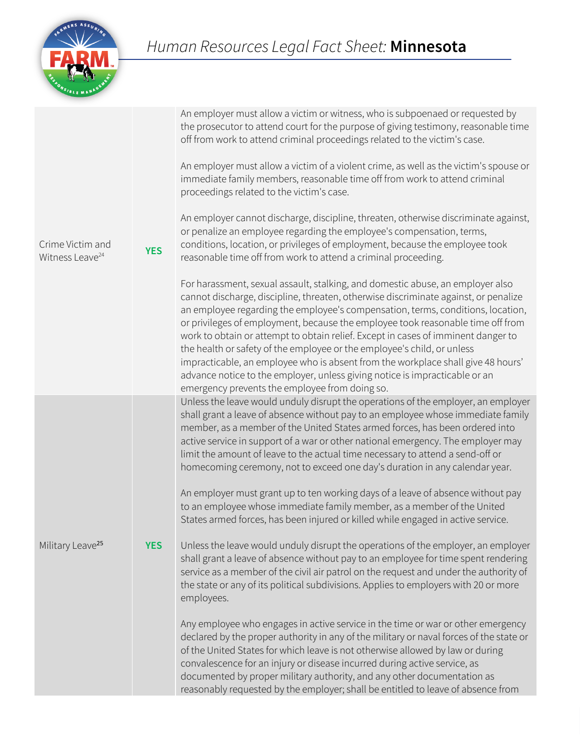

| Crime Victim and<br>Witness Leave <sup>24</sup> | <b>YES</b> | An employer must allow a victim or witness, who is subpoenaed or requested by<br>the prosecutor to attend court for the purpose of giving testimony, reasonable time<br>off from work to attend criminal proceedings related to the victim's case.<br>An employer must allow a victim of a violent crime, as well as the victim's spouse or<br>immediate family members, reasonable time off from work to attend criminal<br>proceedings related to the victim's case.<br>An employer cannot discharge, discipline, threaten, otherwise discriminate against,<br>or penalize an employee regarding the employee's compensation, terms,<br>conditions, location, or privileges of employment, because the employee took<br>reasonable time off from work to attend a criminal proceeding.<br>For harassment, sexual assault, stalking, and domestic abuse, an employer also<br>cannot discharge, discipline, threaten, otherwise discriminate against, or penalize<br>an employee regarding the employee's compensation, terms, conditions, location,<br>or privileges of employment, because the employee took reasonable time off from<br>work to obtain or attempt to obtain relief. Except in cases of imminent danger to<br>the health or safety of the employee or the employee's child, or unless<br>impracticable, an employee who is absent from the workplace shall give 48 hours'<br>advance notice to the employer, unless giving notice is impracticable or an<br>emergency prevents the employee from doing so.                                                                                                                        |
|-------------------------------------------------|------------|-----------------------------------------------------------------------------------------------------------------------------------------------------------------------------------------------------------------------------------------------------------------------------------------------------------------------------------------------------------------------------------------------------------------------------------------------------------------------------------------------------------------------------------------------------------------------------------------------------------------------------------------------------------------------------------------------------------------------------------------------------------------------------------------------------------------------------------------------------------------------------------------------------------------------------------------------------------------------------------------------------------------------------------------------------------------------------------------------------------------------------------------------------------------------------------------------------------------------------------------------------------------------------------------------------------------------------------------------------------------------------------------------------------------------------------------------------------------------------------------------------------------------------------------------------------------------------------------------------------------------------------------------------|
| Military Leave <sup>25</sup>                    | <b>YES</b> | Unless the leave would unduly disrupt the operations of the employer, an employer<br>shall grant a leave of absence without pay to an employee whose immediate family<br>member, as a member of the United States armed forces, has been ordered into<br>active service in support of a war or other national emergency. The employer may<br>limit the amount of leave to the actual time necessary to attend a send-off or<br>homecoming ceremony, not to exceed one day's duration in any calendar year.<br>An employer must grant up to ten working days of a leave of absence without pay<br>to an employee whose immediate family member, as a member of the United<br>States armed forces, has been injured or killed while engaged in active service.<br>Unless the leave would unduly disrupt the operations of the employer, an employer<br>shall grant a leave of absence without pay to an employee for time spent rendering<br>service as a member of the civil air patrol on the request and under the authority of<br>the state or any of its political subdivisions. Applies to employers with 20 or more<br>employees.<br>Any employee who engages in active service in the time or war or other emergency<br>declared by the proper authority in any of the military or naval forces of the state or<br>of the United States for which leave is not otherwise allowed by law or during<br>convalescence for an injury or disease incurred during active service, as<br>documented by proper military authority, and any other documentation as<br>reasonably requested by the employer; shall be entitled to leave of absence from |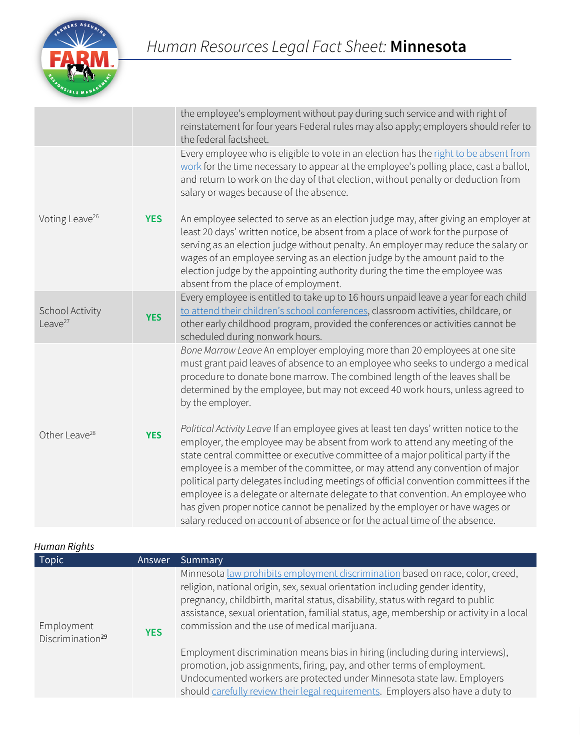

|                                        |            | the employee's employment without pay during such service and with right of<br>reinstatement for four years Federal rules may also apply; employers should refer to<br>the federal factsheet.                                                                                                                                                                                                                                                                                                                                                                                                                                                                                         |
|----------------------------------------|------------|---------------------------------------------------------------------------------------------------------------------------------------------------------------------------------------------------------------------------------------------------------------------------------------------------------------------------------------------------------------------------------------------------------------------------------------------------------------------------------------------------------------------------------------------------------------------------------------------------------------------------------------------------------------------------------------|
|                                        |            | Every employee who is eligible to vote in an election has the right to be absent from<br>work for the time necessary to appear at the employee's polling place, cast a ballot,<br>and return to work on the day of that election, without penalty or deduction from<br>salary or wages because of the absence.                                                                                                                                                                                                                                                                                                                                                                        |
| Voting Leave <sup>26</sup>             | <b>YES</b> | An employee selected to serve as an election judge may, after giving an employer at<br>least 20 days' written notice, be absent from a place of work for the purpose of<br>serving as an election judge without penalty. An employer may reduce the salary or<br>wages of an employee serving as an election judge by the amount paid to the<br>election judge by the appointing authority during the time the employee was<br>absent from the place of employment.                                                                                                                                                                                                                   |
| School Activity<br>Leave <sup>27</sup> | <b>YES</b> | Every employee is entitled to take up to 16 hours unpaid leave a year for each child<br>to attend their children's school conferences, classroom activities, childcare, or<br>other early childhood program, provided the conferences or activities cannot be<br>scheduled during nonwork hours.                                                                                                                                                                                                                                                                                                                                                                                      |
|                                        |            | Bone Marrow Leave An employer employing more than 20 employees at one site<br>must grant paid leaves of absence to an employee who seeks to undergo a medical<br>procedure to donate bone marrow. The combined length of the leaves shall be<br>determined by the employee, but may not exceed 40 work hours, unless agreed to<br>by the employer.                                                                                                                                                                                                                                                                                                                                    |
| Other Leave <sup>28</sup>              | <b>YES</b> | Political Activity Leave If an employee gives at least ten days' written notice to the<br>employer, the employee may be absent from work to attend any meeting of the<br>state central committee or executive committee of a major political party if the<br>employee is a member of the committee, or may attend any convention of major<br>political party delegates including meetings of official convention committees if the<br>employee is a delegate or alternate delegate to that convention. An employee who<br>has given proper notice cannot be penalized by the employer or have wages or<br>salary reduced on account of absence or for the actual time of the absence. |

#### *Human Rights*

| Topic                                      | Answer     | Summary                                                                                                                                                                                                                                                                                                                                                                                                                                                                                                                                                                                                                                                                                                                 |
|--------------------------------------------|------------|-------------------------------------------------------------------------------------------------------------------------------------------------------------------------------------------------------------------------------------------------------------------------------------------------------------------------------------------------------------------------------------------------------------------------------------------------------------------------------------------------------------------------------------------------------------------------------------------------------------------------------------------------------------------------------------------------------------------------|
| Employment<br>Discrimination <sup>29</sup> | <b>YES</b> | Minnesota law prohibits employment discrimination based on race, color, creed,<br>religion, national origin, sex, sexual orientation including gender identity,<br>pregnancy, childbirth, marital status, disability, status with regard to public<br>assistance, sexual orientation, familial status, age, membership or activity in a local<br>commission and the use of medical marijuana.<br>Employment discrimination means bias in hiring (including during interviews),<br>promotion, job assignments, firing, pay, and other terms of employment.<br>Undocumented workers are protected under Minnesota state law. Employers<br>should carefully review their legal requirements. Employers also have a duty to |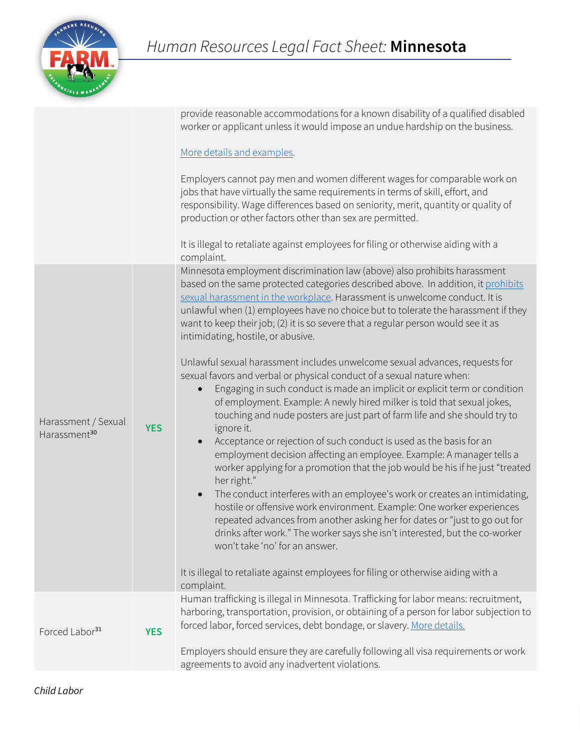

|                                                 |            | provide reasonable accommodations for a known disability of a qualified disabled<br>worker or applicant unless it would impose an undue hardship on the business.                                                                                                                                                                                                                                                                                                                                                                                                                                                                                                                                                                                                                                                                                                                                                                                                                                                                                                                                                                                                                                                                                                                                                                                                                                                                                                                                                                                                                                                           |
|-------------------------------------------------|------------|-----------------------------------------------------------------------------------------------------------------------------------------------------------------------------------------------------------------------------------------------------------------------------------------------------------------------------------------------------------------------------------------------------------------------------------------------------------------------------------------------------------------------------------------------------------------------------------------------------------------------------------------------------------------------------------------------------------------------------------------------------------------------------------------------------------------------------------------------------------------------------------------------------------------------------------------------------------------------------------------------------------------------------------------------------------------------------------------------------------------------------------------------------------------------------------------------------------------------------------------------------------------------------------------------------------------------------------------------------------------------------------------------------------------------------------------------------------------------------------------------------------------------------------------------------------------------------------------------------------------------------|
|                                                 |            | More details and examples.                                                                                                                                                                                                                                                                                                                                                                                                                                                                                                                                                                                                                                                                                                                                                                                                                                                                                                                                                                                                                                                                                                                                                                                                                                                                                                                                                                                                                                                                                                                                                                                                  |
|                                                 |            | Employers cannot pay men and women different wages for comparable work on<br>jobs that have virtually the same requirements in terms of skill, effort, and<br>responsibility. Wage differences based on seniority, merit, quantity or quality of<br>production or other factors other than sex are permitted.                                                                                                                                                                                                                                                                                                                                                                                                                                                                                                                                                                                                                                                                                                                                                                                                                                                                                                                                                                                                                                                                                                                                                                                                                                                                                                               |
|                                                 |            | It is illegal to retaliate against employees for filing or otherwise aiding with a<br>complaint.                                                                                                                                                                                                                                                                                                                                                                                                                                                                                                                                                                                                                                                                                                                                                                                                                                                                                                                                                                                                                                                                                                                                                                                                                                                                                                                                                                                                                                                                                                                            |
| Harassment / Sexual<br>Harassment <sup>30</sup> | <b>YES</b> | Minnesota employment discrimination law (above) also prohibits harassment<br>based on the same protected categories described above. In addition, it prohibits<br>sexual harassment in the workplace. Harassment is unwelcome conduct. It is<br>unlawful when (1) employees have no choice but to tolerate the harassment if they<br>want to keep their job; (2) it is so severe that a regular person would see it as<br>intimidating, hostile, or abusive.<br>Unlawful sexual harassment includes unwelcome sexual advances, requests for<br>sexual favors and verbal or physical conduct of a sexual nature when:<br>Engaging in such conduct is made an implicit or explicit term or condition<br>$\bullet$<br>of employment. Example: A newly hired milker is told that sexual jokes,<br>touching and nude posters are just part of farm life and she should try to<br>ignore it.<br>Acceptance or rejection of such conduct is used as the basis for an<br>$\bullet$<br>employment decision affecting an employee. Example: A manager tells a<br>worker applying for a promotion that the job would be his if he just "treated<br>her right."<br>The conduct interferes with an employee's work or creates an intimidating,<br>$\bullet$<br>hostile or offensive work environment. Example: One worker experiences<br>repeated advances from another asking her for dates or "just to go out for<br>drinks after work." The worker says she isn't interested, but the co-worker<br>won't take 'no' for an answer.<br>It is illegal to retaliate against employees for filing or otherwise aiding with a<br>complaint. |
| Forced Labor <sup>31</sup>                      | <b>YES</b> | Human trafficking is illegal in Minnesota. Trafficking for labor means: recruitment,                                                                                                                                                                                                                                                                                                                                                                                                                                                                                                                                                                                                                                                                                                                                                                                                                                                                                                                                                                                                                                                                                                                                                                                                                                                                                                                                                                                                                                                                                                                                        |
|                                                 |            | harboring, transportation, provision, or obtaining of a person for labor subjection to<br>forced labor, forced services, debt bondage, or slavery. More details.                                                                                                                                                                                                                                                                                                                                                                                                                                                                                                                                                                                                                                                                                                                                                                                                                                                                                                                                                                                                                                                                                                                                                                                                                                                                                                                                                                                                                                                            |
|                                                 |            | Employers should ensure they are carefully following all visa requirements or work<br>agreements to avoid any inadvertent violations.                                                                                                                                                                                                                                                                                                                                                                                                                                                                                                                                                                                                                                                                                                                                                                                                                                                                                                                                                                                                                                                                                                                                                                                                                                                                                                                                                                                                                                                                                       |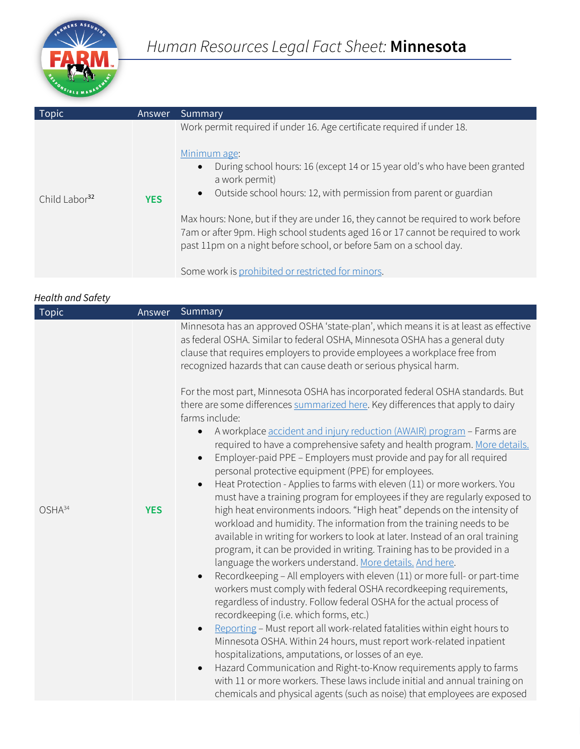

| <b>Topic</b>              | Answer     | Summary                                                                                                                                                                                                                                                                                                                                                                                                                                                                                                                                                                                  |
|---------------------------|------------|------------------------------------------------------------------------------------------------------------------------------------------------------------------------------------------------------------------------------------------------------------------------------------------------------------------------------------------------------------------------------------------------------------------------------------------------------------------------------------------------------------------------------------------------------------------------------------------|
| Child Labor <sup>32</sup> | <b>YES</b> | Work permit required if under 16. Age certificate required if under 18.<br>Minimum age:<br>During school hours: 16 (except 14 or 15 year old's who have been granted<br>$\bullet$<br>a work permit)<br>Outside school hours: 12, with permission from parent or guardian<br>$\bullet$<br>Max hours: None, but if they are under 16, they cannot be required to work before<br>7am or after 9pm. High school students aged 16 or 17 cannot be required to work<br>past 11pm on a night before school, or before 5am on a school day.<br>Some work is prohibited or restricted for minors. |

#### *Health and Safety*

| <b>Topic</b>       | Answer     | Summary                                                                                                                                                                                                                                                                                                                                                                                                                                                                                                                                                                                                                                                                                                                                                                                                                                                                                                                                                                                                                                                                                                                                                                                                                                                                                                                                                                                                                                                                                                                                                                                                                                                                                                                                                                                                                                                                                                                                                                                                                                                                                                                  |
|--------------------|------------|--------------------------------------------------------------------------------------------------------------------------------------------------------------------------------------------------------------------------------------------------------------------------------------------------------------------------------------------------------------------------------------------------------------------------------------------------------------------------------------------------------------------------------------------------------------------------------------------------------------------------------------------------------------------------------------------------------------------------------------------------------------------------------------------------------------------------------------------------------------------------------------------------------------------------------------------------------------------------------------------------------------------------------------------------------------------------------------------------------------------------------------------------------------------------------------------------------------------------------------------------------------------------------------------------------------------------------------------------------------------------------------------------------------------------------------------------------------------------------------------------------------------------------------------------------------------------------------------------------------------------------------------------------------------------------------------------------------------------------------------------------------------------------------------------------------------------------------------------------------------------------------------------------------------------------------------------------------------------------------------------------------------------------------------------------------------------------------------------------------------------|
| OSHA <sup>34</sup> | <b>YES</b> | Minnesota has an approved OSHA 'state-plan', which means it is at least as effective<br>as federal OSHA. Similar to federal OSHA, Minnesota OSHA has a general duty<br>clause that requires employers to provide employees a workplace free from<br>recognized hazards that can cause death or serious physical harm.<br>For the most part, Minnesota OSHA has incorporated federal OSHA standards. But<br>there are some differences summarized here. Key differences that apply to dairy<br>farms include:<br>A workplace accident and injury reduction (AWAIR) program - Farms are<br>required to have a comprehensive safety and health program. More details.<br>Employer-paid PPE - Employers must provide and pay for all required<br>$\bullet$<br>personal protective equipment (PPE) for employees.<br>Heat Protection - Applies to farms with eleven (11) or more workers. You<br>$\bullet$<br>must have a training program for employees if they are regularly exposed to<br>high heat environments indoors. "High heat" depends on the intensity of<br>workload and humidity. The information from the training needs to be<br>available in writing for workers to look at later. Instead of an oral training<br>program, it can be provided in writing. Training has to be provided in a<br>language the workers understand. More details. And here.<br>Recordkeeping - All employers with eleven (11) or more full- or part-time<br>$\bullet$<br>workers must comply with federal OSHA recordkeeping requirements,<br>regardless of industry. Follow federal OSHA for the actual process of<br>recordkeeping (i.e. which forms, etc.)<br>Reporting - Must report all work-related fatalities within eight hours to<br>$\bullet$<br>Minnesota OSHA. Within 24 hours, must report work-related inpatient<br>hospitalizations, amputations, or losses of an eye.<br>Hazard Communication and Right-to-Know requirements apply to farms<br>$\bullet$<br>with 11 or more workers. These laws include initial and annual training on<br>chemicals and physical agents (such as noise) that employees are exposed |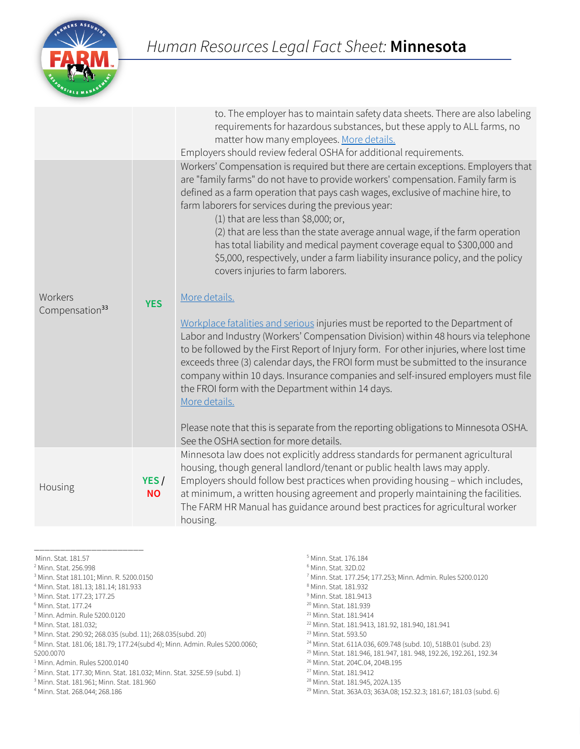

|                                       |                   | to. The employer has to maintain safety data sheets. There are also labeling<br>requirements for hazardous substances, but these apply to ALL farms, no<br>matter how many employees. More details.<br>Employers should review federal OSHA for additional requirements.                                                                                                                                                                                                                                                                                                                                                                   |
|---------------------------------------|-------------------|--------------------------------------------------------------------------------------------------------------------------------------------------------------------------------------------------------------------------------------------------------------------------------------------------------------------------------------------------------------------------------------------------------------------------------------------------------------------------------------------------------------------------------------------------------------------------------------------------------------------------------------------|
|                                       |                   | Workers' Compensation is required but there are certain exceptions. Employers that<br>are "family farms" do not have to provide workers' compensation. Family farm is<br>defined as a farm operation that pays cash wages, exclusive of machine hire, to<br>farm laborers for services during the previous year:<br>$(1)$ that are less than \$8,000; or,<br>(2) that are less than the state average annual wage, if the farm operation<br>has total liability and medical payment coverage equal to \$300,000 and<br>\$5,000, respectively, under a farm liability insurance policy, and the policy<br>covers injuries to farm laborers. |
| Workers<br>Compensation <sup>33</sup> | <b>YES</b>        | More details.<br>Workplace fatalities and serious injuries must be reported to the Department of<br>Labor and Industry (Workers' Compensation Division) within 48 hours via telephone<br>to be followed by the First Report of Injury form. For other injuries, where lost time<br>exceeds three (3) calendar days, the FROI form must be submitted to the insurance<br>company within 10 days. Insurance companies and self-insured employers must file<br>the FROI form with the Department within 14 days.<br>More details.                                                                                                             |
|                                       |                   | Please note that this is separate from the reporting obligations to Minnesota OSHA.<br>See the OSHA section for more details.                                                                                                                                                                                                                                                                                                                                                                                                                                                                                                              |
| Housing                               | YES/<br><b>NO</b> | Minnesota law does not explicitly address standards for permanent agricultural<br>housing, though general landlord/tenant or public health laws may apply.<br>Employers should follow best practices when providing housing - which includes,<br>at minimum, a written housing agreement and properly maintaining the facilities.<br>The FARM HR Manual has guidance around best practices for agricultural worker<br>housing.                                                                                                                                                                                                             |

\_\_\_\_\_\_\_\_\_\_\_\_\_\_\_\_\_\_\_\_\_ Minn. Stat. 181.57

<sup>2</sup> Minn. Stat. 256.998

<sup>3</sup> Minn. Stat 181.101; Minn. R. 5200.0150

<sup>4</sup> Minn. Stat. 181.13; 181.14; 181.933

<sup>5</sup> Minn. Stat. 177.23; 177.25

<sup>6</sup> Minn. Stat. 177.24

<sup>7</sup> Minn. Admin. Rule 5200.0120

<sup>8</sup> Minn. Stat. 181.032; 9 Minn. Stat. 290.92; 268.035 (subd. 11); 268.035(subd. 20)

<sup>0</sup> Minn. Stat. 181.06; 181.79; 177.24(subd 4); Minn. Admin. Rules 5200.0060; 5200.0070

<sup>1</sup> Minn. Admin. Rules 5200.0140

<sup>2</sup> Minn. Stat. 177.30; Minn. Stat. 181.032; Minn. Stat. 325E.59 (subd. 1)

<sup>3</sup> Minn. Stat. 181.961; Minn. Stat. 181.960

<sup>4</sup> Minn. Stat. 268.044; 268.186

 Minn. Stat. 176.184 Minn. Stat. 32D.02 Minn. Stat. 177.254; 177.253; Minn. Admin. Rules 5200.0120 Minn. Stat. 181.932 Minn. Stat. 181.9413 Minn. Stat. 181.939 Minn. Stat. 181.9414 Minn. Stat. 181.9413, 181.92, 181.940, 181.941 Minn. Stat. 593.50 Minn. Stat. 611A.036, 609.748 (subd. 10), 518B.01 (subd. 23) Minn. Stat. 181.946, 181.947, 181. 948, 192.26, 192.261, 192.34 Minn. Stat. 204C.04, 204B.195 Minn. Stat. 181.9412 Minn. Stat. 181.945, 202A.135 Minn. Stat. 363A.03; 363A.08; 152.32.3; 181.67; 181.03 (subd. 6)